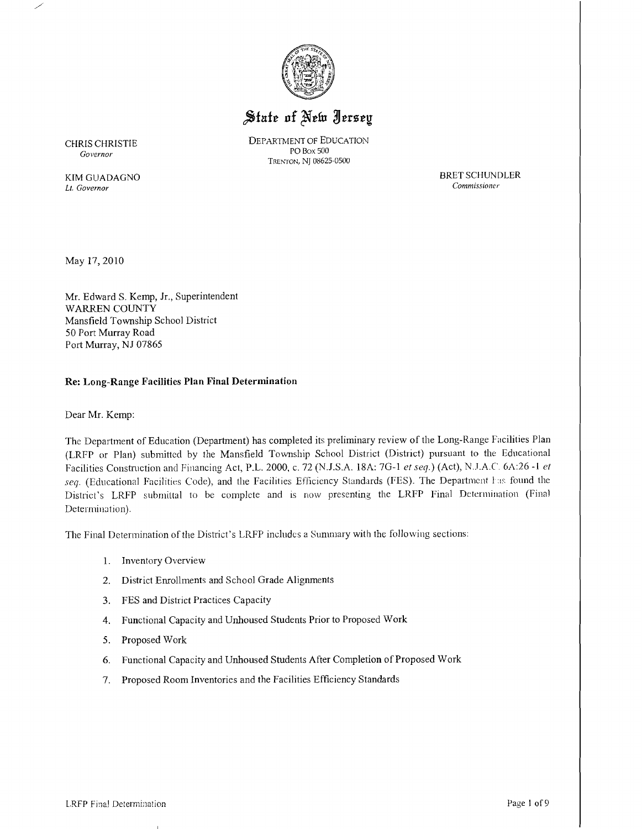

# State of New Jersey

CHRIS CHRISTIE DEPARTMENT OF EDUCATION<br>PO Box 500 TRENTON, NJ 08625-0500

 $Government$ 

*Commissioner* Lt. *Governor* 

KIM GUADAGNO BRET SCHUNDLER<br> *Lt. Governor* Commissioner

May 17,2010

Mr. Edward S. Kemp, Jr., Superintendent WARREN COUNTY Mansfield Township School District 50 Port Murray Road Port Murray, NJ 07865

## **Re: Long-Range Facilities Plan Final Determination**

Dear Mr. Kemp:

The Department of Education (Department) has completed its preliminary review of the Long-Range Facilities Plan (LRFP or Plan) submitted by the Mansfield Township School District (District) pursuant to the Educational Facilities Construction and Financing Act, P.L. 2000, c. 72 (N.J.S.A. 18A: *7G-1 et seq.)* (Act), N.J.A.C'. 6A:26 -1 *et*  seq. (Educational Facilities Code), and the Facilities Efficiency Standards (FES). The Department has found the District's LRFP submittal to be complete and is now presenting the LRFP Final Determination (Final Determination).

The Final Determination of the District's LRFP includes a Summary with. the following sections:

- 1. Inventory Overview
- 2. District Enrollments and School Grade Alignments
- 3. FES and District Practices Capacity
- 4. Functional Capacity and Unhoused Students Prior to Proposed Work
- 5. Proposed Work
- 6. Functional Capacity and Unhoused Students After Completion of Proposed Work
- 7. Proposed Room Inventories and the Facilities Efficiency Standards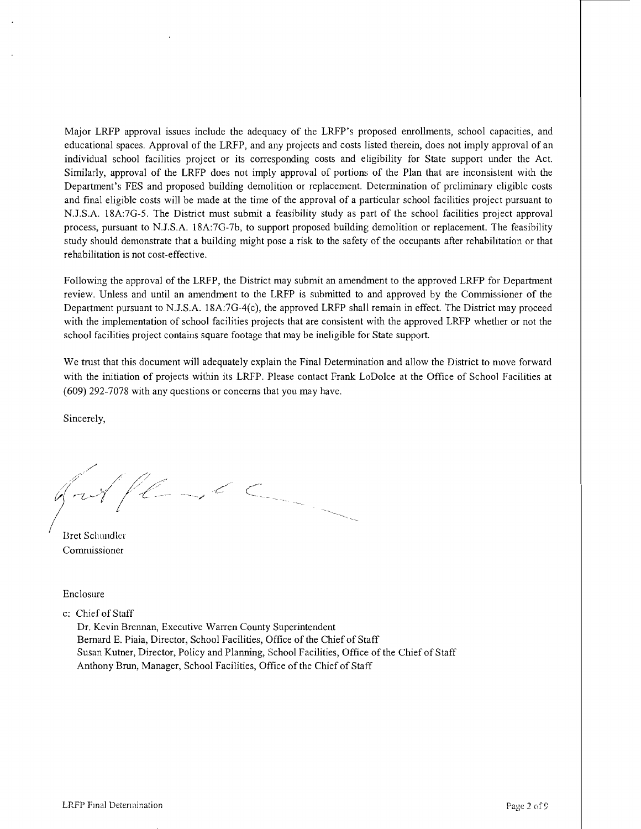Major LRFP approval issues include the adequacy of the LRFP's proposed enrollments, school capacities, and educational spaces. Approval of the LRFP, and any projects and costs listed therein, does not imply approval of an individual school facilities project or its corresponding costs and eligibility for State support under the Act. Similarly, approval of the LRFP does not imply approval of portions of the Plan that are inconsistent with the Department's FES and proposed building demolition or replacement. Determination of preliminary eligible costs and final eligible costs will be made at the time of the approval of a particular school facilities project pursuant to N.J.S.A. 18A:7G-5. The District must submit a feasibility study as part of the school facilities project approval process, pursuant to N.J.S.A. 18A:7G-7b, to support proposed building demolition or replacement. The feasibility study should demonstrate that a building might pose a risk to the safety of the occupants after rehabilitation or that rehabilitation is not cost-effective.

Following the approval of the LRFP, the District may submit an amendment to the approved LRFP for Department review.. Unless and until an amendment to the LRFP is submitted to and approved by the Commissioner of the Department pursuant to N.J.S.A. 18A:7G-4(c), the approved LRFP shall remain in effect. The District may proceed with the implementation of school facilities projects that are consistent with the approved LRFP whether or not the school facilities project contains square footage that may be ineligible for State support.

We trust that this document will adequately explain the Final Determination and allow the District to move forward with the initiation of projects within its LRFP. Please contact Frank LoDolce at the Office of School Facilities at (609) 292-7078 with any questions or concerns that you may have.

Sincerely,

.<br>مر<br>/ .;:-:' */1"*'/ ,/' *f-T-f* /~--//

Bret Schundler Commissioner

Enclosure

c: Chief of Staff

Dr. Kevin Brennan, Executive Warren County Superintendent Bernard E. Piaia, Director, School Facilities, Office of the Chief of Staff Susan Kutner, Director, Policy and Planning, School Facilities, Office of the Chief of Staff Anthony Brun, Manager, School Facilities, Office of the Chief of Staff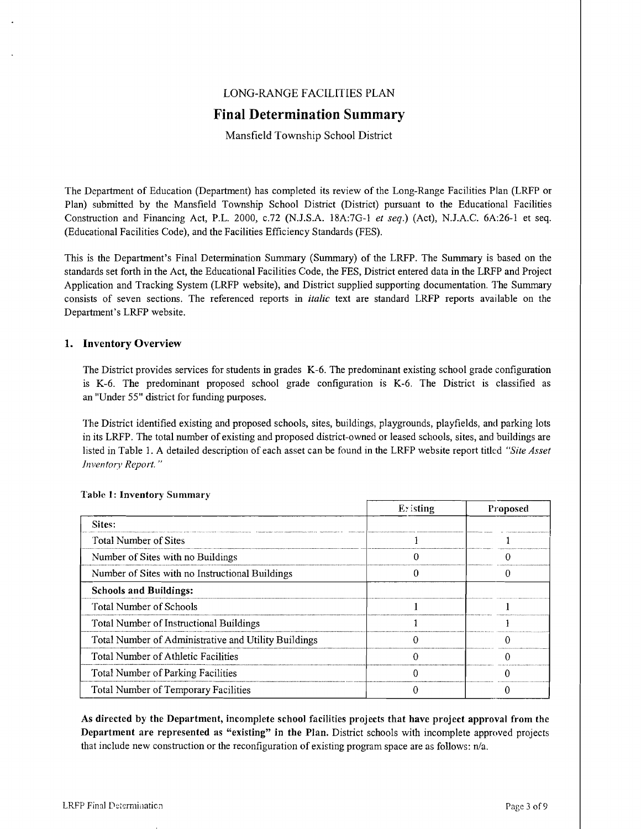## LONG-RANGE FACILITIES PLAN

## **Final Determination Summary**

Mansfield Township School District

The Department of Education (Department) has completed its review of the Long-Range Facilities Plan (LRFP or Plan) submitted by the Mansfield Township School District (District) pursuant to the Educational Facilities Construction and Financing Act, P.L. 2000, *c.72* (N.J.S.A. 18A:7G-1 *et seq.*) (Act), N.J.A.C. 6A:26-1 et seq. (Educational Facilities Code), and the Facilities Efficiency Standards (FES).

This is the Department's Final Determination Summary (Summary) of the LRFP. The Summary is based on the standards set forth in the Act, the Educational Facilities Code, the FES, District entered data in the LRFP and Project Application and Tracking System (LRFP website), and District supplied supporting documentation. The Summary consists of seven sections. The referenced reports in *italic* text are standard LRFP reports available on the Department's LRFP website.

#### 1. Inventory Overview

The District provides services for students in grades K-6. The predominant existing school grade configuration is K-6. The predominant proposed school grade configuration is K-6. The District is classified as an "Under 55" district for funding purposes.

The District identified existing and proposed schools, sites, buildings, playgrounds, playfields, and parking lots in its LRFP. The total number of existing and proposed district-owned or leased schools, sites, and buildings are listed in Table 1. A detailed description of each asset can be found in the LRFP website report titlcd *"Site Asset inventory Report. "* 

|                                                      | Existing | Proposed |
|------------------------------------------------------|----------|----------|
| Sites:                                               |          |          |
| Total Number of Sites                                |          |          |
| Number of Sites with no Buildings                    |          |          |
| Number of Sites with no Instructional Buildings      |          |          |
| <b>Schools and Buildings:</b>                        |          |          |
| Total Number of Schools                              |          |          |
| Total Number of Instructional Buildings              |          |          |
| Total Number of Administrative and Utility Buildings |          |          |
| Total Number of Athletic Facilities                  |          |          |
| Total Number of Parking Facilities                   |          |          |
| Total Number of Temporary Facilities                 |          |          |

#### Table I: Inventory Summary

As directed by the Department, incomplete school facilities projects that have project approval from the Department are represented as "existing" in the Plan. District schools with incomplete approved projects that include new construction or the reconfiguration of existing program space are as follows:  $n/a$ .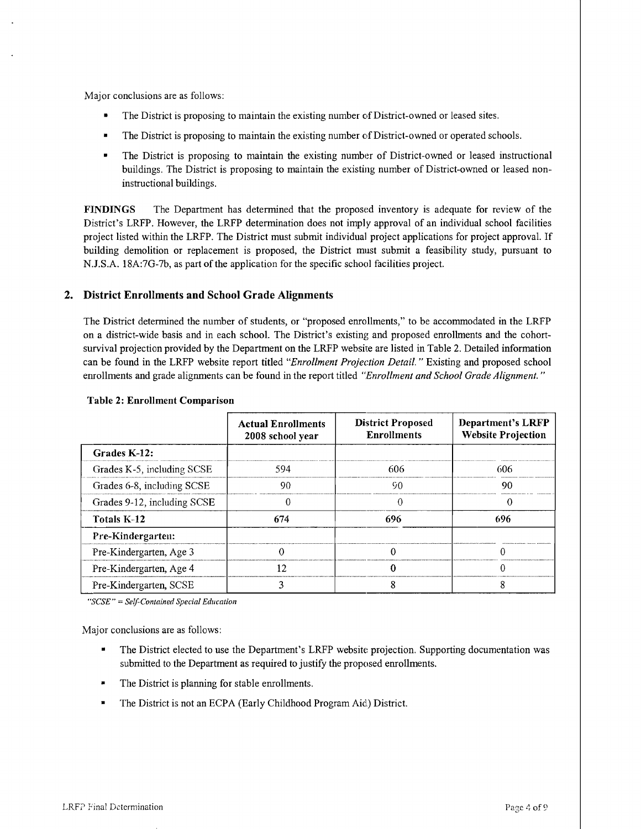Major conclusions are as follows:

- The District is proposing to maintain the existing number of District-owned or leased sites.
- The District is proposing to maintain the existing number of District-owned or operated schools.
- The District is proposing to maintain the existing number of District-owned or leased instructional buildings. The District is proposing to maintain the existing number of District-owned or leased noninstructional buildings.

FINDINGS The Department has detennined that the proposed inventory is adequate for review of the District's LRFP. However, the LRFP detennination does not imply approval of an individual school facilities project listed within the LRFP. The District must submit individual project applications for project approval. If building demolition or replacement is proposed, the District must submit a feasibility study, pursuant to N.J.S.A. 18A:7G-7b, as part of the application for the specific school facilities project.

#### 2. District Enrollments and School Grade Alignments

The District determined the number of students, or "proposed enrollments," to be accommodated in the LRFP on a district-wide basis and in each school. The District's existing and proposed enrolhnents and the cohortsurvival projection provided by the Department on the LRFP website are listed in Table 2. Detailed information can be found in the LRFP website report titled *"Enrollment Projection Detail.* " Existing and proposed school enrollments and grade alignments can be found in the report titled *"Enrollment and School Grade Alignment. "* 

|                             | <b>Actual Enrollments</b><br>2008 school year | <b>District Proposed</b><br><b>Enrollments</b> | Department's LRFP<br><b>Website Projection</b> |
|-----------------------------|-----------------------------------------------|------------------------------------------------|------------------------------------------------|
| Grades K-12:                |                                               |                                                |                                                |
| Grades K-5, including SCSE  | 594                                           | 606                                            | 606                                            |
| Grades 6-8, including SCSE  | 90.                                           | 90                                             | 90                                             |
| Grades 9-12, including SCSE | 0                                             | 0                                              | 0                                              |
| Totals K-12                 | 674                                           | 696                                            | 696                                            |
| Pre-Kindergarten:           |                                               |                                                |                                                |
| Pre-Kindergarten, Age 3     |                                               |                                                |                                                |
| Pre-Kindergarten, Age 4     | 12                                            |                                                |                                                |
| Pre-Kindergarten, SCSE      |                                               |                                                |                                                |

#### Table 2: Enrollment Comparison

*"SCSE"* = *Self-Contained Special Education* 

- The District elected to use the Department's LRFP website projection. Supporting documentation was submitted to the Department as required to justify the proposed enrollments.
- The District is planning for stable enrollments.
- The District is not an ECPA (Early Childhood Program Aid) District.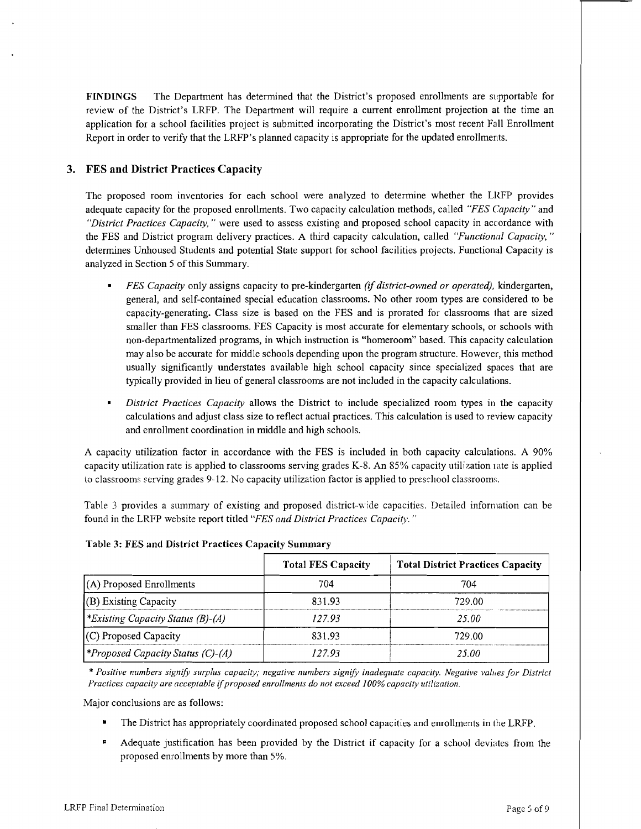FINDINGS The Department has determined that the District's proposed enrollments are supportable for review of the District's LRFP. The Department will require a current enrollment projection at the time an application for a school facilities project is submitted incorporating the District's most recent Fall Enrollment Report in order to verify that the LRFP's planned capacity is appropriate for the updated enrollments.

## 3. FES and District Practices Capacity

The proposed room inventories for each school were analyzed to determine whether the LRFP provides adequate capacity for the proposed enrollments. Two capacity calculation methods, called *"FES Capacity"* and *"District Practices Capacity,* " were used to assess existing and proposed school capacity in accordance with the FES and District program delivery practices. A third capacity calculation, called *"Functional Capacity, "*  determines Unhoused Students and potential State support for school facilities projects. Functional Capacity is analyzed in Section 5 of this Summary.

- *FES Capacity* only assigns capacity to pre-kindergarten *(if district-owned or operated),* kindergarten, general, and self-contained special education classrooms. No other room types are considered to be capacity-generating. Class size is based on the FES and is prorated for classrooms that are sized smaller than FES classrooms. FES Capacity is most accurate for elementary schools, or schools with non-departmentalized programs, in which instruction is "homeroom" based. This capacity calculation may also be accurate for middle schools depending upon the program structure. However, this method usually significantly understates available high school capacity since specialized spaces that are typically provided in lieu of general classrooms are not included in the capacity calculations.
- *District Practices Capacity* allows the District to include specialized room types in the capacity calculations and adjust class size to reflect actual practices. This calculation is used to review capacity and enrollment coordination in middle and high schools.

A capacity utilization factor in accordance with the FES is included in both capacity calculations. A 90% capacity utilization rate is applied to classrooms serving grades K-8. An 85% capacity utilization rate is applied to classrooms serving grades 9-12. No capacity utilization factor is applied to preschool classrooms.

Table 3 provides a summary of existing and proposed district-wide capacities. Detailed information can be found in the LRFP website report titled *"FES and District Practices Capacity. "* 

|                                         | <b>Total FES Capacity</b> | <b>Total District Practices Capacity</b> |
|-----------------------------------------|---------------------------|------------------------------------------|
| (A) Proposed Enrollments                | 704                       | 704                                      |
| (B) Existing Capacity                   | 831.93                    | 729.00.                                  |
| *Existing Capacity Status (B)-(A)       | 127 93                    | 25.00.                                   |
| $(C)$ Proposed Capacity                 | 831.93                    | 729 OO                                   |
| <i>Proposed Capacity Status (C)-(A)</i> | 127.93                    | 25.OO                                    |

#### Table 3: FES and District Practices Capacity Summary

\* Positive numbers signify surplus capacity; negative numbers signify inadequate capacity. Negative values for District *Practices capacity are acceptable* if*proposed enrollments do not exceed* J*00% capacity utilization.* 

- The District has appropriately coordinated proposed school capacities and enrollments in the LRFP.
- <sup>1</sup> Adequate justification has been provided by the District if capacity for a school deviates from the proposed enrollments by more than 5%.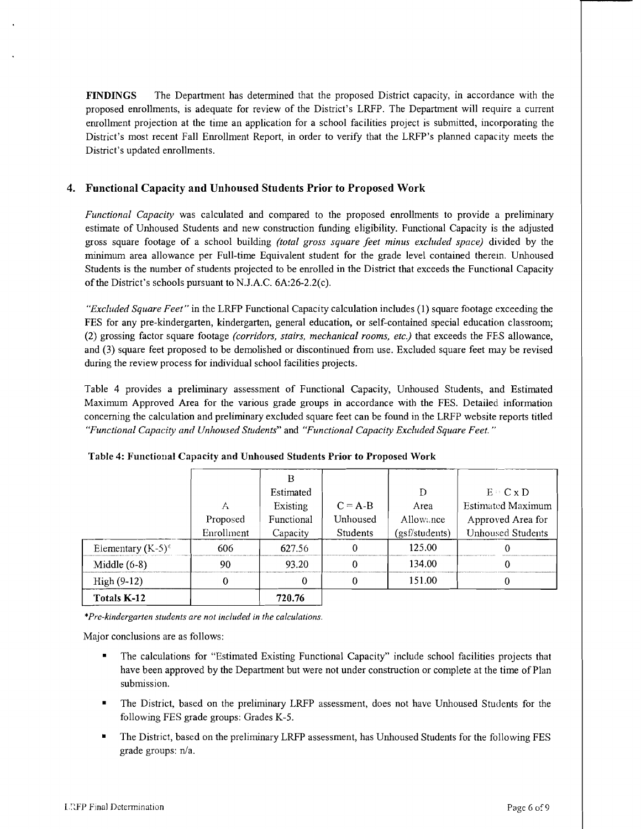FINDINGS The Department has determined that the proposed District capacity, in accordance with the proposed enrollments, is adequate for review of the District's LRFP. The Department will require a current enrollment projection at the time an application for a school facilities project is submitted, incorporating the District's most recent Fall Enrollment Report, in order to verify that the LRFP's planned capacity meets the District's updated enrollments.

## 4. Functional Capacity and Unhoused Students Prior to Proposed Work

*Functional Capacity* was calculated and compared to the proposed enrollments to provide a preliminary estimate of Unhoused Students and new construction funding eligibility. Functional Capacity is the adjusted gross square footage of a school building *(total gross square feet minus excluded space)* divided by the minimum area allowance per Full-time Equivalent student for the grade level contained therem. Unhoused Students is the number of students projected to be enrolled in the District that exceeds the Functional Capacity of the District's schools pursuant to N.J.A.C.  $6A:26-2.2(c)$ .

*"Excluded Square Feet"* in the LRFP Functional Capacity calculation includes (1) square footage exceeding the FES for any pre-kindergarten, kindergarten, general education, or self-contained special education classroom; (2) grossing factor square footage *(corridors, stairs, mechanical rooms, etc.)* that exceeds the FES allowance, and (3) square feet proposed to be demolished or discontinued from use. Excluded square feet may be revised during the review process for individual school facilities projects.

Table 4 provides a preliminary assessment of Functional Capacity, Unhoused Students, and Estimated Maximum Approved Area for the various grade groups in accordance with the FES. Detailed information concerning the calculation and preliminary excluded square feet can be found in the LRFP website reports titled *"Functional Capacity and Unhoused Students"* and *"Functional Capacity Excluded Square Feet. "* 

|                      |            | в          |             |                |                          |
|----------------------|------------|------------|-------------|----------------|--------------------------|
|                      |            | Estimated  |             | Đ              | $E \circ C \times D$     |
|                      | А          | Existing   | $C = A - B$ | Area           | <b>Estimated Maximum</b> |
|                      | Proposed   | Functional | Unhoused    | Allowance      | Approved Area for        |
|                      | Enrollment | Capacity   | Students    | (gsf/students) | <b>Unhoused Students</b> |
| Elementary $(K-5)^*$ | 606        | 627.56     |             | 125.00         |                          |
| Middle $(6-8)$       | 90         | 93.20      |             | 134.00         |                          |
| $High (9-12)$        |            |            | 0           | 151.00         |                          |
| Totals K-12          |            | 720.76     |             |                |                          |

Table 4: Functional Capacity and Unhoused Students Prior to Proposed Work

\**Pre-kindergarten students are not included in the calculations.* 

- The calculations for "Estimated Existing Functional Capacity" include school facilities projects that have been approved by the Department but were not under construction or complete at the time of Plan submission.
- The District, based on the preliminary LRFP assessment, does not have Unhoused Students for the following FES grade groups: Grades K-5.
- The District, based on the preliminary LRFP assessment, has Unhoused Students for the following FES grade groups: n/a.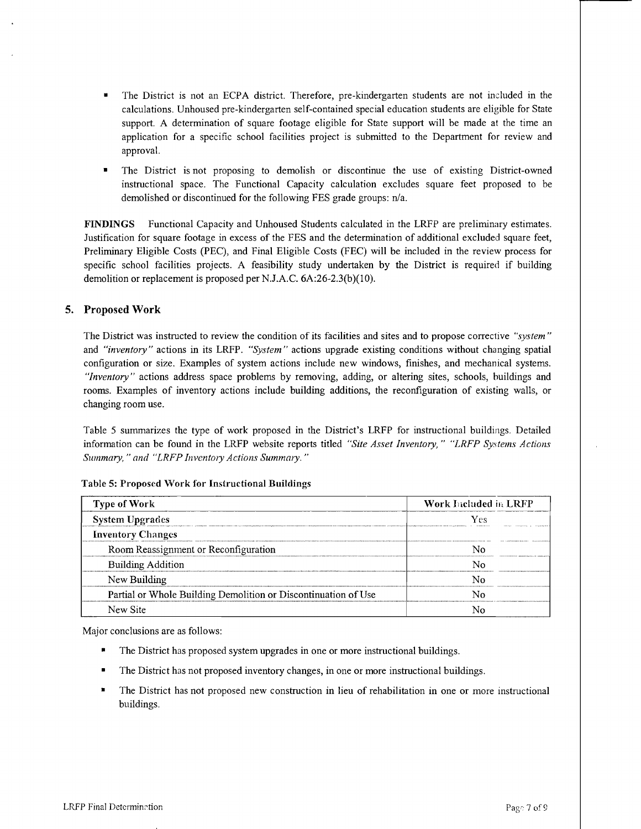- The District is not an ECPA district. Therefore, pre-kindergarten students are not included in the calculations. Unhoused pre-kindergarten self-contained special education students are eligible for State support. A determination of square footage eligible for State support will be made at the time an application for a specific school facilities project is submitted to the Department for review and approval.
- The District is not proposing to demolish or discontinue the use of existing District-owned instructional space. The Functional Capacity calculation excludes square feet proposed to be demolished or discontinued for the following FES grade groups: n/a.

FINDINGS Functional Capacity and Unhoused Students calculated in the LRFP are preliminary estimates. Justification for square footage in excess of the FES and the determination of additional excluded square feet, Preliminary Eligible Costs (PEC), and Final Eligible Costs (FEC) will be included in the review process for specific school facilities projects. A feasibility study undertaken by the District is required if building demolition or replacement is proposed per NJ.A.C. 6A:26-2.3(b)(10).

## 5. Proposed Work

The District was instructed to review the condition of its facilities and sites and to propose corrective *"system"*  and *"inventory"* actions in its LRFP. *"System"* actions upgrade existing conditions without changing spatial configuration or size. Examples of system actions include new windows, finishes, and mechanical systems. *"Inventory"* actions address space problems by removing, adding, or altering sites, schools, buildings and rooms. Examples of inventory actions include building additions, the reconfiguration of existing walls, or changing room use.

Table 5 summarizes the type of work proposed in the District's LRFP for instructional buildings. Detailed information can be found in the LRFP website reports titled *"Site Asset Inventory," "LRFP Systems Actions Summary,* " *and "LRFP Inventory Actions Summary. "* 

| <b>Type of Work</b>                                            | Work Included in LRFP |  |  |
|----------------------------------------------------------------|-----------------------|--|--|
| <b>System Upgrades</b>                                         | Ves                   |  |  |
| <b>Inventory Changes</b>                                       |                       |  |  |
| Room Reassignment or Reconfiguration                           |                       |  |  |
| <b>Building Addition</b>                                       |                       |  |  |
| New Building                                                   |                       |  |  |
| Partial or Whole Building Demolition or Discontinuation of Use |                       |  |  |
| New Site                                                       |                       |  |  |

#### Table 5: Proposed Work for Instructional Buildings

- The District has proposed system upgrades in one or more instructional buildings.
- The District has not proposed inventory changes, in one or more instructional buildings.
- The District has not proposed new construction in lieu of rehabilitation in one or more instructional buildings.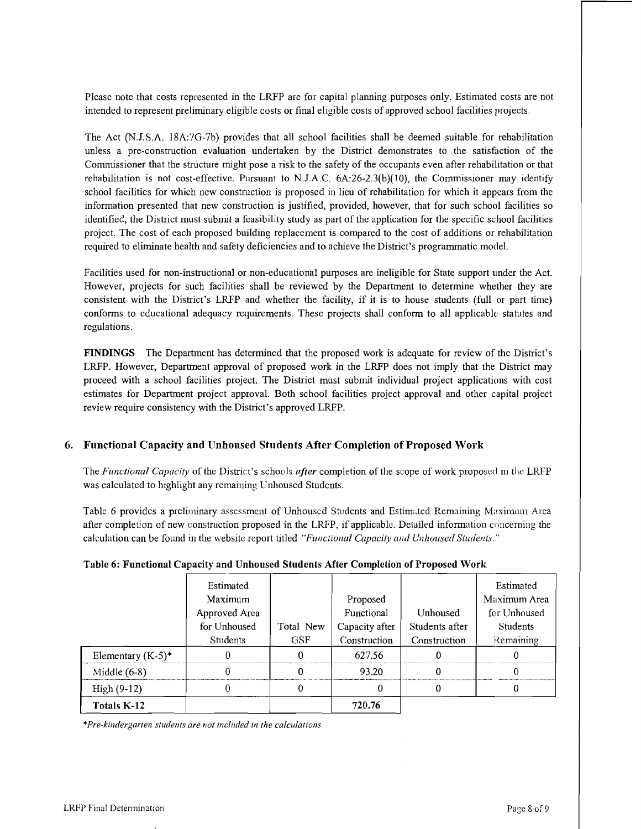Please note that costs represented in the LRFP are for capital planning purposes only. Estimated costs are not intended to represent preliminary eligible costs or final eligible costs of approved school facilities projects.

The Act (N.J.S.A. 18A:7G-7b) provides that all school facilities shall be deemed suitable for rehabilitation unless a pre-construction evaluation undertaken by the District demonstrates to the satisfaction of the Commissioner that the structure might pose a risk to the safety of the occupants even after rehabilitation or that rehabilitation is not cost-effective. Pursuant to N.J.A.C. 6A:26-2.3(b)(1O), the Commissioner may identify school facilities for which new construction is proposed in lieu of rehabilitation for which it appears from the information presented that new construction is justified, provided, however, that for such school facilities so identified, the District must submit a feasibility study as part of the application for the specific school facilities project. The cost of each proposed building replacement is compared to the cost of additions or rehabilitation required to eliminate health and safety deficiencies and to achieve the District's programmatic model.

Facilities used for non-instructional or non-educational purposes are ineligible for State support under the Act. However, projects for such facilities shall be reviewed by the Department to determine whether they are consistent with the District's LRFP and whether the facility, if it is to house students (full or part time) conforms to educational adequacy requirements. These projects shall conform to all applicable statutes and regulations.

FINDINGS The Department has determined that the proposed work is adequate for review of the District's LRFP. However, Department approval of proposed work in the LRFP does not imply that the District may proceed with a school facilities project. The District must submit individual project applications with cost estimates for Department project approval. Both school facilities project approval and other capital project review require consistency with the District's approved LRFP.

## 6. Functional Capacity and Unhoused Students After Completion of Proposed Work

The *Functional Capacity* of the District's schools *after* completion of the scope of work proposed in the LRFP was calculated to highlight any remaining Unhoused Students.

Table 6 provides a preliminary assessment of Unhoused Students and Estimated Remaining Maximum Area after completion of new construction proposed in the LRFP, if applicable. Detailed information concerning the calculation can be found in the website report titled *"Functional Capacity and Unhoused Students"* 

|                      | Estimated     |            |                |                | Estimated    |
|----------------------|---------------|------------|----------------|----------------|--------------|
|                      | Maximum       |            | Proposed       |                | Maximum Area |
|                      | Approved Area |            | Functional     | Unhoused       | for Unhoused |
|                      | for Unhoused  | Total New  | Capacity after | Students after | Students     |
|                      | Students      | <b>GSF</b> | Construction   | Construction   | Remaining    |
| Elementary $(K-5)^*$ |               | 0          | 627.56         |                |              |
| Middle $(6-8)$       |               |            | 93.20          |                |              |
| $High (9-12)$        |               | 0          |                | 0              |              |
| Totals K-12          |               |            | 720.76         |                |              |

## Table 6: Functional Capacity and Unhoused Students After Completion of Proposed Work

*\*Pre-killdergarten students are not included in the calculations.*